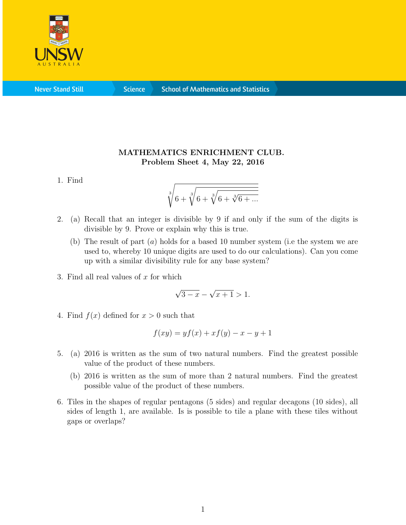

**Never Stand Still** 

**Science** 

## MATHEMATICS ENRICHMENT CLUB. Problem Sheet 4, May 22, 2016

1. Find

$$
\sqrt[3]{6+\sqrt[3]{6+\sqrt[3]{6+\sqrt[3]{6+\ldots}}}}
$$

- 2. (a) Recall that an integer is divisible by 9 if and only if the sum of the digits is divisible by 9. Prove or explain why this is true.
	- (b) The result of part  $(a)$  holds for a based 10 number system (i.e the system we are used to, whereby 10 unique digits are used to do our calculations). Can you come up with a similar divisibility rule for any base system?
- 3. Find all real values of  $x$  for which

$$
\sqrt{3-x} - \sqrt{x+1} > 1.
$$

4. Find  $f(x)$  defined for  $x > 0$  such that

$$
f(xy) = yf(x) + xf(y) - x - y + 1
$$

- 5. (a) 2016 is written as the sum of two natural numbers. Find the greatest possible value of the product of these numbers.
	- (b) 2016 is written as the sum of more than 2 natural numbers. Find the greatest possible value of the product of these numbers.
- 6. Tiles in the shapes of regular pentagons (5 sides) and regular decagons (10 sides), all sides of length 1, are available. Is is possible to tile a plane with these tiles without gaps or overlaps?